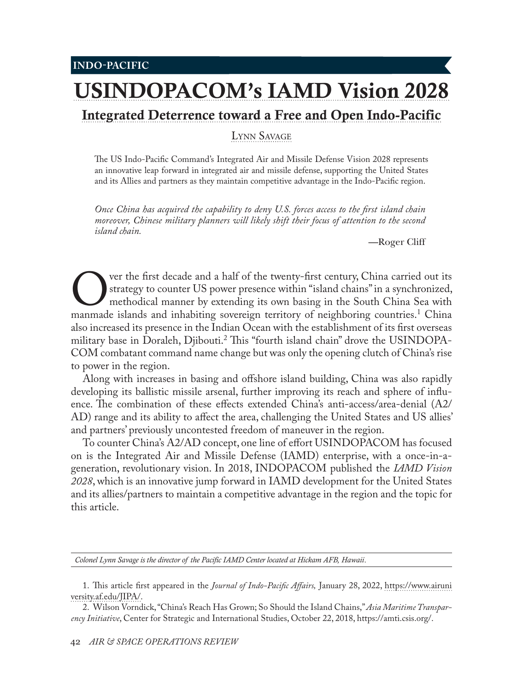## [USINDOPACOM's IAMD Vision 2028](#page-0-0) [Integrated Deterrence toward a Free and Open Indo-Pacific](#page-0-0)

[Lynn Savage](#page-0-0)

The US Indo-Pacific Command's Integrated Air and Missile Defense Vision 2028 represents an innovative leap forward in integrated air and missile defense, supporting the United States and its Allies and partners as they maintain competitive advantage in the Indo-Pacific region.

*Once China has acquired the capability to deny U.S. forces access to the first island chain moreover, Chinese military planners will likely shift their focus of attention to the second island chain.*

—Roger Cliff

Over the first decade and a half of the twenty-first century, China carried out its strategy to counter US power presence within "island chains" in a synchronized, methodical manner by extending its own basing in the South strategy to counter US power presence within "island chains" in a synchronized, methodical manner by extending its own basing in the South China Sea with also increased its presence in the Indian Ocean with the establishment of its first overseas military base in Doraleh, Djibouti.<sup>2</sup> This "fourth island chain" drove the USINDOPA-COM combatant command name change but was only the opening clutch of China's rise to power in the region.

Along with increases in basing and offshore island building, China was also rapidly developing its ballistic missile arsenal, further improving its reach and sphere of influence. The combination of these effects extended China's anti-access/area-denial (A2/ AD) range and its ability to affect the area, challenging the United States and US allies' and partners' previously uncontested freedom of maneuver in the region.

To counter China's A2/AD concept, one line of effort USINDOPACOM has focused on is the Integrated Air and Missile Defense (IAMD) enterprise, with a once-in-ageneration, revolutionary vision. In 2018, INDOPACOM published the *IAMD Vision 2028*, which is an innovative jump forward in IAMD development for the United States and its allies/partners to maintain a competitive advantage in the region and the topic for this article.

*Colonel Lynn Savage is the director of the Pacific IAMD Center located at Hickam AFB, Hawaii*.

<sup>1.</sup> This article first appeared in the *Journal of Indo-Pacific Affairs,* January 28, 2022, [https://www.airuni](https://www.airuniversity.af.edu/JIPA/Display/Article/2915508/us-indopacoms-integrated-air-and-missile-defense-vision-2028-integrated-deterre/) [versity.af.edu/JIPA/.](https://www.airuniversity.af.edu/JIPA/Display/Article/2915508/us-indopacoms-integrated-air-and-missile-defense-vision-2028-integrated-deterre/)

<span id="page-0-0"></span><sup>2.</sup> Wilson Vorndick, "China's Reach Has Grown; So Should the Island Chains," *Asia Maritime Transparency Initiative*, Center for Strategic and International Studies, October 22, 2018, [https://amti.csis.org/](https://amti.csis.org/chinas-reach-grown-island-chains/).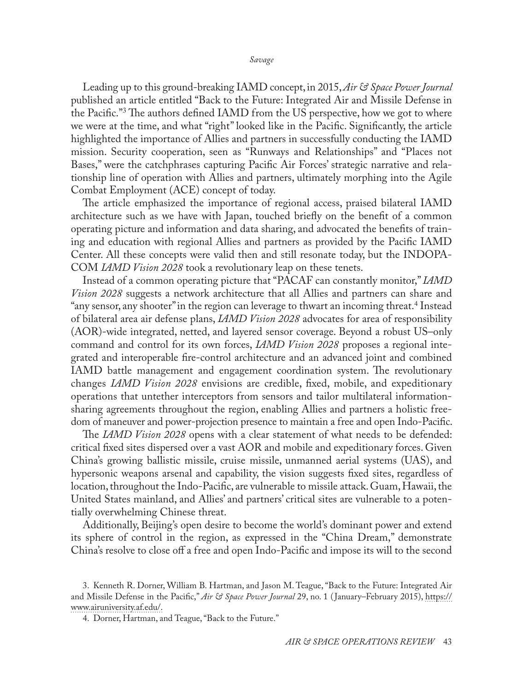Leading up to this ground-breaking IAMD concept, in 2015, *Air & Space Power Journal* published an article entitled "Back to the Future: Integrated Air and Missile Defense in the Pacific."3 The authors defined IAMD from the US perspective, how we got to where we were at the time, and what "right" looked like in the Pacific. Significantly, the article highlighted the importance of Allies and partners in successfully conducting the IAMD mission. Security cooperation, seen as "Runways and Relationships" and "Places not Bases," were the catchphrases capturing Pacific Air Forces' strategic narrative and relationship line of operation with Allies and partners, ultimately morphing into the Agile Combat Employment (ACE) concept of today.

The article emphasized the importance of regional access, praised bilateral IAMD architecture such as we have with Japan, touched briefly on the benefit of a common operating picture and information and data sharing, and advocated the benefits of training and education with regional Allies and partners as provided by the Pacific IAMD Center. All these concepts were valid then and still resonate today, but the INDOPA-COM *IAMD Vision 2028* took a revolutionary leap on these tenets.

Instead of a common operating picture that "PACAF can constantly monitor," *IAMD Vision 2028* suggests a network architecture that all Allies and partners can share and "any sensor, any shooter" in the region can leverage to thwart an incoming threat.4 Instead of bilateral area air defense plans, *IAMD Vision 2028* advocates for area of responsibility (AOR)-wide integrated, netted, and layered sensor coverage. Beyond a robust US–only command and control for its own forces, *IAMD Vision 2028* proposes a regional integrated and interoperable fire-control architecture and an advanced joint and combined IAMD battle management and engagement coordination system. The revolutionary changes *IAMD Vision 2028* envisions are credible, fixed, mobile, and expeditionary operations that untether interceptors from sensors and tailor multilateral informationsharing agreements throughout the region, enabling Allies and partners a holistic freedom of maneuver and power-projection presence to maintain a free and open Indo-Pacific.

The *IAMD Vision 2028* opens with a clear statement of what needs to be defended: critical fixed sites dispersed over a vast AOR and mobile and expeditionary forces. Given China's growing ballistic missile, cruise missile, unmanned aerial systems (UAS), and hypersonic weapons arsenal and capability, the vision suggests fixed sites, regardless of location, throughout the Indo-Pacific, are vulnerable to missile attack. Guam, Hawaii, the United States mainland, and Allies' and partners' critical sites are vulnerable to a potentially overwhelming Chinese threat.

Additionally, Beijing's open desire to become the world's dominant power and extend its sphere of control in the region, as expressed in the "China Dream," demonstrate China's resolve to close off a free and open Indo-Pacific and impose its will to the second

<sup>3.</sup> Kenneth R. Dorner, William B. Hartman, and Jason M. Teague, "Back to the Future: Integrated Air and Missile Defense in the Pacific," *Air & Space Power Journal* 29, no. 1 ( January–February 2015), [https://](https://www.airuniversity.af.edu/Portals/10/ASPJ/journals/Volume-29_Issue-1/V-Dorner_Hartman_Teague.pdf) [www.airuniversity.af.edu/](https://www.airuniversity.af.edu/Portals/10/ASPJ/journals/Volume-29_Issue-1/V-Dorner_Hartman_Teague.pdf).

<sup>4.</sup> Dorner, Hartman, and Teague, "Back to the Future."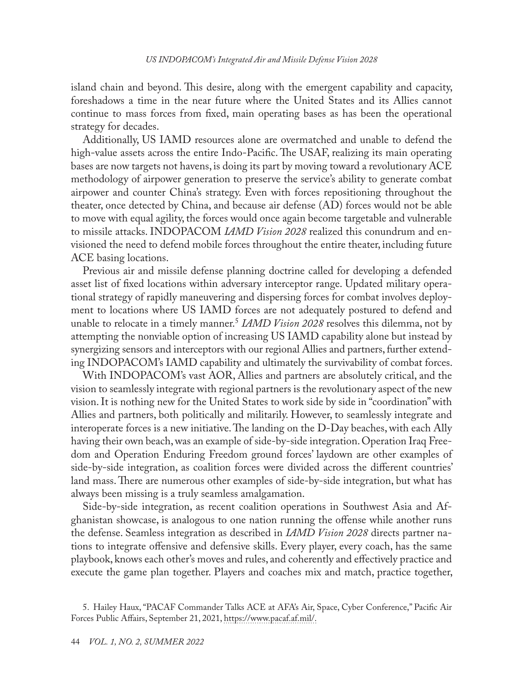island chain and beyond. This desire, along with the emergent capability and capacity, foreshadows a time in the near future where the United States and its Allies cannot continue to mass forces from fixed, main operating bases as has been the operational strategy for decades.

Additionally, US IAMD resources alone are overmatched and unable to defend the high-value assets across the entire Indo-Pacific. The USAF, realizing its main operating bases are now targets not havens, is doing its part by moving toward a revolutionary ACE methodology of airpower generation to preserve the service's ability to generate combat airpower and counter China's strategy. Even with forces repositioning throughout the theater, once detected by China, and because air defense (AD) forces would not be able to move with equal agility, the forces would once again become targetable and vulnerable to missile attacks. INDOPACOM *IAMD Vision 2028* realized this conundrum and envisioned the need to defend mobile forces throughout the entire theater, including future ACE basing locations.

Previous air and missile defense planning doctrine called for developing a defended asset list of fixed locations within adversary interceptor range. Updated military operational strategy of rapidly maneuvering and dispersing forces for combat involves deployment to locations where US IAMD forces are not adequately postured to defend and unable to relocate in a timely manner.5 *IAMD Vision 2028* resolves this dilemma, not by attempting the nonviable option of increasing US IAMD capability alone but instead by synergizing sensors and interceptors with our regional Allies and partners, further extending INDOPACOM's IAMD capability and ultimately the survivability of combat forces.

With INDOPACOM's vast AOR, Allies and partners are absolutely critical, and the vision to seamlessly integrate with regional partners is the revolutionary aspect of the new vision. It is nothing new for the United States to work side by side in "coordination" with Allies and partners, both politically and militarily. However, to seamlessly integrate and interoperate forces is a new initiative. The landing on the D-Day beaches, with each Ally having their own beach, was an example of side-by-side integration. Operation Iraq Freedom and Operation Enduring Freedom ground forces' laydown are other examples of side-by-side integration, as coalition forces were divided across the different countries' land mass. There are numerous other examples of side-by-side integration, but what has always been missing is a truly seamless amalgamation.

Side-by-side integration, as recent coalition operations in Southwest Asia and Afghanistan showcase, is analogous to one nation running the offense while another runs the defense. Seamless integration as described in *IAMD Vision 2028* directs partner nations to integrate offensive and defensive skills. Every player, every coach, has the same playbook, knows each other's moves and rules, and coherently and effectively practice and execute the game plan together. Players and coaches mix and match, practice together,

<sup>5.</sup> Hailey Haux, "PACAF Commander Talks ACE at AFA's Air, Space, Cyber Conference," Pacific Air Forces Public Affairs, September 21, 2021, [https://www.pacaf.af.mil/](https://www.pacaf.af.mil/News/Article-Display/Article/2782447/pacaf-commander-talks-ace-at-afas-air-space-cyber-conference/).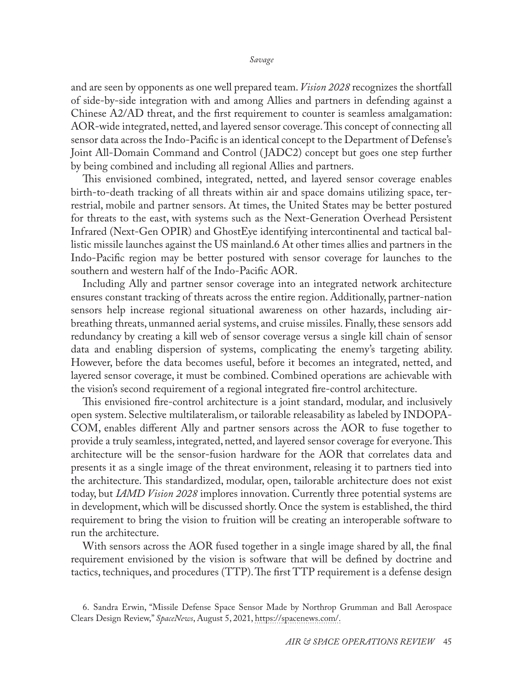and are seen by opponents as one well prepared team. *Vision 2028* recognizes the shortfall of side-by-side integration with and among Allies and partners in defending against a Chinese A2/AD threat, and the first requirement to counter is seamless amalgamation: AOR-wide integrated, netted, and layered sensor coverage. This concept of connecting all sensor data across the Indo-Pacific is an identical concept to the Department of Defense's Joint All-Domain Command and Control ( JADC2) concept but goes one step further by being combined and including all regional Allies and partners.

This envisioned combined, integrated, netted, and layered sensor coverage enables birth-to-death tracking of all threats within air and space domains utilizing space, terrestrial, mobile and partner sensors. At times, the United States may be better postured for threats to the east, with systems such as the Next-Generation Overhead Persistent Infrared (Next-Gen OPIR) and GhostEye identifying intercontinental and tactical ballistic missile launches against the US mainland.6 At other times allies and partners in the Indo-Pacific region may be better postured with sensor coverage for launches to the southern and western half of the Indo-Pacific AOR.

Including Ally and partner sensor coverage into an integrated network architecture ensures constant tracking of threats across the entire region. Additionally, partner-nation sensors help increase regional situational awareness on other hazards, including airbreathing threats, unmanned aerial systems, and cruise missiles. Finally, these sensors add redundancy by creating a kill web of sensor coverage versus a single kill chain of sensor data and enabling dispersion of systems, complicating the enemy's targeting ability. However, before the data becomes useful, before it becomes an integrated, netted, and layered sensor coverage, it must be combined. Combined operations are achievable with the vision's second requirement of a regional integrated fire-control architecture.

This envisioned fire-control architecture is a joint standard, modular, and inclusively open system. Selective multilateralism, or tailorable releasability as labeled by INDOPA-COM, enables different Ally and partner sensors across the AOR to fuse together to provide a truly seamless, integrated, netted, and layered sensor coverage for everyone. This architecture will be the sensor-fusion hardware for the AOR that correlates data and presents it as a single image of the threat environment, releasing it to partners tied into the architecture. This standardized, modular, open, tailorable architecture does not exist today, but *IAMD Vision 2028* implores innovation. Currently three potential systems are in development, which will be discussed shortly. Once the system is established, the third requirement to bring the vision to fruition will be creating an interoperable software to run the architecture.

With sensors across the AOR fused together in a single image shared by all, the final requirement envisioned by the vision is software that will be defined by doctrine and tactics, techniques, and procedures (TTP). The first TTP requirement is a defense design

<sup>6.</sup> Sandra Erwin, "Missile Defense Space Sensor Made by Northrop Grumman and Ball Aerospace Clears Design Review," *SpaceNews*, August 5, 2021, [https://spacenews.com/.](https://spacenews.com/missile-defense-space-sensor-made-by-northrop-grumman-and-ball-aerospace-clears-design-review/)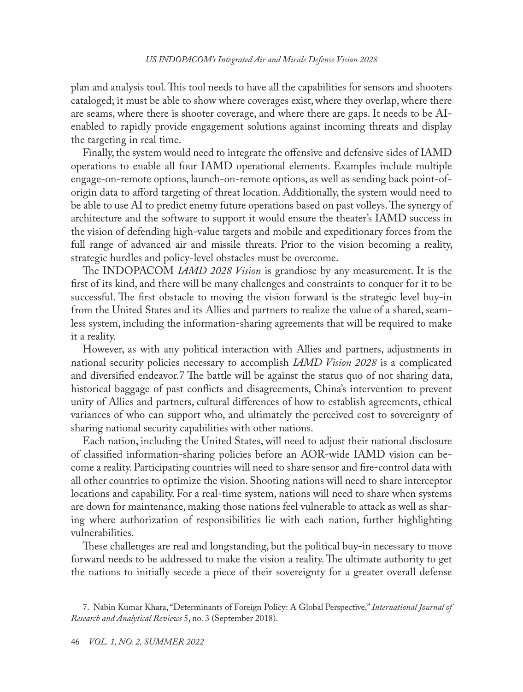plan and analysis tool. This tool needs to have all the capabilities for sensors and shooters cataloged; it must be able to show where coverages exist, where they overlap, where there are seams, where there is shooter coverage, and where there are gaps. It needs to be AIenabled to rapidly provide engagement solutions against incoming threats and display the targeting in real time.

Finally, the system would need to integrate the offensive and defensive sides of IAMD operations to enable all four IAMD operational elements. Examples include multiple engage-on-remote options, launch-on-remote options, as well as sending back point-oforigin data to afford targeting of threat location. Additionally, the system would need to be able to use AI to predict enemy future operations based on past volleys. The synergy of architecture and the software to support it would ensure the theater's IAMD success in the vision of defending high-value targets and mobile and expeditionary forces from the full range of advanced air and missile threats. Prior to the vision becoming a reality, strategic hurdles and policy-level obstacles must be overcome.

The INDOPACOM *IAMD 2028 Vision* is grandiose by any measurement. It is the first of its kind, and there will be many challenges and constraints to conquer for it to be successful. The first obstacle to moving the vision forward is the strategic level buy-in from the United States and its Allies and partners to realize the value of a shared, seamless system, including the information-sharing agreements that will be required to make it a reality.

However, as with any political interaction with Allies and partners, adjustments in national security policies necessary to accomplish *IAMD Vision 2028* is a complicated and diversified endeavor.7 The battle will be against the status quo of not sharing data, historical baggage of past conflicts and disagreements, China's intervention to prevent unity of Allies and partners, cultural differences of how to establish agreements, ethical variances of who can support who, and ultimately the perceived cost to sovereignty of sharing national security capabilities with other nations.

Each nation, including the United States, will need to adjust their national disclosure of classified information-sharing policies before an AOR-wide IAMD vision can become a reality. Participating countries will need to share sensor and fire-control data with all other countries to optimize the vision. Shooting nations will need to share interceptor locations and capability. For a real-time system, nations will need to share when systems are down for maintenance, making those nations feel vulnerable to attack as well as sharing where authorization of responsibilities lie with each nation, further highlighting vulnerabilities.

These challenges are real and longstanding, but the political buy-in necessary to move forward needs to be addressed to make the vision a reality. The ultimate authority to get the nations to initially secede a piece of their sovereignty for a greater overall defense

<sup>7.</sup> Nabin Kumar Khara, "Determinants of Foreign Policy: A Global Perspective," *International Journal of Research and Analytical Reviews* 5, no. 3 (September 2018).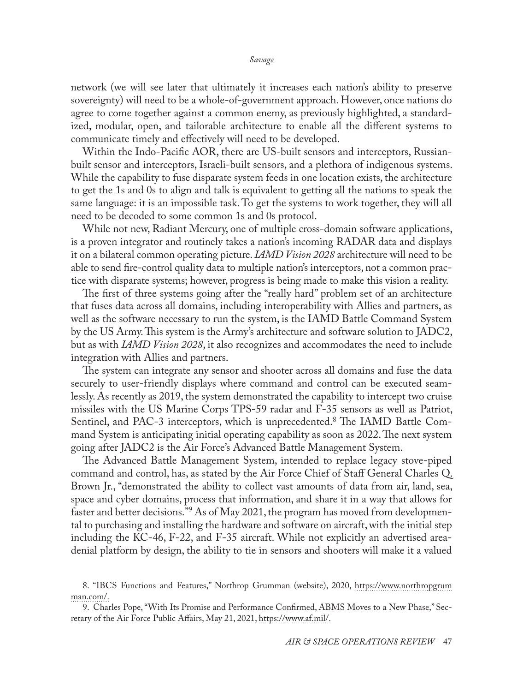network (we will see later that ultimately it increases each nation's ability to preserve sovereignty) will need to be a whole-of-government approach. However, once nations do agree to come together against a common enemy, as previously highlighted, a standardized, modular, open, and tailorable architecture to enable all the different systems to communicate timely and effectively will need to be developed.

Within the Indo-Pacific AOR, there are US-built sensors and interceptors, Russianbuilt sensor and interceptors, Israeli-built sensors, and a plethora of indigenous systems. While the capability to fuse disparate system feeds in one location exists, the architecture to get the 1s and 0s to align and talk is equivalent to getting all the nations to speak the same language: it is an impossible task. To get the systems to work together, they will all need to be decoded to some common 1s and 0s protocol.

While not new, Radiant Mercury, one of multiple cross-domain software applications, is a proven integrator and routinely takes a nation's incoming RADAR data and displays it on a bilateral common operating picture. *IAMD Vision 2028* architecture will need to be able to send fire-control quality data to multiple nation's interceptors, not a common practice with disparate systems; however, progress is being made to make this vision a reality.

The first of three systems going after the "really hard" problem set of an architecture that fuses data across all domains, including interoperability with Allies and partners, as well as the software necessary to run the system, is the IAMD Battle Command System by the US Army. This system is the Army's architecture and software solution to JADC2, but as with *IAMD Vision 2028*, it also recognizes and accommodates the need to include integration with Allies and partners.

The system can integrate any sensor and shooter across all domains and fuse the data securely to user-friendly displays where command and control can be executed seamlessly. As recently as 2019, the system demonstrated the capability to intercept two cruise missiles with the US Marine Corps TPS-59 radar and F-35 sensors as well as Patriot, Sentinel, and PAC-3 interceptors, which is unprecedented.<sup>8</sup> The IAMD Battle Command System is anticipating initial operating capability as soon as 2022. The next system going after JADC2 is the Air Force's Advanced Battle Management System.

The Advanced Battle Management System, intended to replace legacy stove-piped command and control, has, as stated by the Air Force Chief of Staff General Charles Q. Brown Jr., "demonstrated the ability to collect vast amounts of data from air, land, sea, space and cyber domains, process that information, and share it in a way that allows for faster and better decisions."9 As of May 2021, the program has moved from developmental to purchasing and installing the hardware and software on aircraft, with the initial step including the KC-46, F-22, and F-35 aircraft. While not explicitly an advertised areadenial platform by design, the ability to tie in sensors and shooters will make it a valued

<sup>8.</sup> "IBCS Functions and Features," Northrop Grumman (website), 2020, [https://www.northropgrum](https://www.northropgrumman.com/wp-content/uploads/L-0770-Integrated-Air-and-Missile-Defense-Battle-Command-System-Infographic.pdf) [man.com/.](https://www.northropgrumman.com/wp-content/uploads/L-0770-Integrated-Air-and-Missile-Defense-Battle-Command-System-Infographic.pdf)

<sup>9.</sup> Charles Pope, "With Its Promise and Performance Confirmed, ABMS Moves to a New Phase," Secretary of the Air Force Public Affairs, May 21, 2021, [https://www.af.mil/.](https://www.af.mil/News/Article-Display/Article/2627008/with-its-promise-and-performance-confirmed-abms-moves-to-a-new-phase/)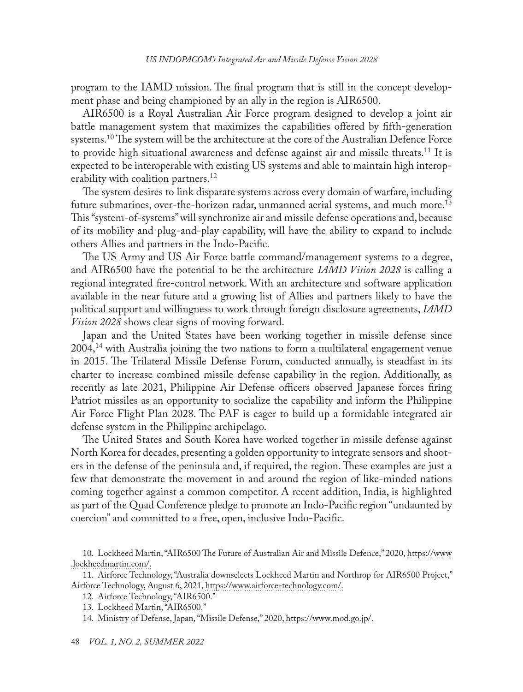program to the IAMD mission. The final program that is still in the concept development phase and being championed by an ally in the region is AIR6500.

AIR6500 is a Royal Australian Air Force program designed to develop a joint air battle management system that maximizes the capabilities offered by fifth-generation systems.<sup>10</sup> The system will be the architecture at the core of the Australian Defence Force to provide high situational awareness and defense against air and missile threats.<sup>11</sup> It is expected to be interoperable with existing US systems and able to maintain high interoperability with coalition partners.<sup>12</sup>

The system desires to link disparate systems across every domain of warfare, including future submarines, over-the-horizon radar, unmanned aerial systems, and much more.13 This "system-of-systems" will synchronize air and missile defense operations and, because of its mobility and plug-and-play capability, will have the ability to expand to include others Allies and partners in the Indo-Pacific.

The US Army and US Air Force battle command/management systems to a degree, and AIR6500 have the potential to be the architecture *IAMD Vision 2028* is calling a regional integrated fire-control network. With an architecture and software application available in the near future and a growing list of Allies and partners likely to have the political support and willingness to work through foreign disclosure agreements, *IAMD Vision 2028* shows clear signs of moving forward.

Japan and the United States have been working together in missile defense since  $2004<sup>14</sup>$  with Australia joining the two nations to form a multilateral engagement venue in 2015. The Trilateral Missile Defense Forum, conducted annually, is steadfast in its charter to increase combined missile defense capability in the region. Additionally, as recently as late 2021, Philippine Air Defense officers observed Japanese forces firing Patriot missiles as an opportunity to socialize the capability and inform the Philippine Air Force Flight Plan 2028. The PAF is eager to build up a formidable integrated air defense system in the Philippine archipelago.

The United States and South Korea have worked together in missile defense against North Korea for decades, presenting a golden opportunity to integrate sensors and shooters in the defense of the peninsula and, if required, the region. These examples are just a few that demonstrate the movement in and around the region of like-minded nations coming together against a common competitor. A recent addition, India, is highlighted as part of the Quad Conference pledge to promote an Indo-Pacific region "undaunted by coercion" and committed to a free, open, inclusive Indo-Pacific.

<sup>10.</sup> Lockheed Martin, "AIR6500 The Future of Australian Air and Missile Defence," 2020, [https://www](https://www.lockheedmartin.com/content/dam/lockheed-martin/au/documents/AIR_6500_A4_Brochure.pdf) [.lockheedmartin.com/.](https://www.lockheedmartin.com/content/dam/lockheed-martin/au/documents/AIR_6500_A4_Brochure.pdf)

<sup>11.</sup> Airforce Technology, "Australia downselects Lockheed Martin and Northrop for AIR6500 Project," Airforce Technology, August 6, 2021, [https://www.airforce-technology.com/](https://www.airforce-technology.com/news/australia-downselects-lockheed-northrop-air6500/).

<sup>12.</sup> Airforce Technology, "AIR6500."

<sup>13.</sup> Lockheed Martin, "AIR6500."

<sup>14.</sup> Ministry of Defense, Japan, "Missile Defense," 2020, [https://www.mod.go.jp/](https://www.mod.go.jp/en/d_architecture/missile_defense/index.html).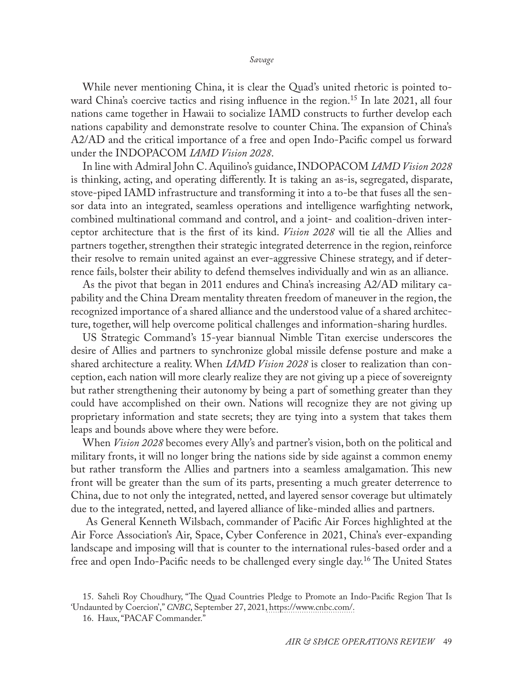*Savage*

While never mentioning China, it is clear the Quad's united rhetoric is pointed toward China's coercive tactics and rising influence in the region.<sup>15</sup> In late 2021, all four nations came together in Hawaii to socialize IAMD constructs to further develop each nations capability and demonstrate resolve to counter China. The expansion of China's A2/AD and the critical importance of a free and open Indo-Pacific compel us forward under the INDOPACOM *IAMD Vision 2028*.

In line with Admiral John C. Aquilino's guidance, INDOPACOM *IAMD Vision 2028* is thinking, acting, and operating differently. It is taking an as-is, segregated, disparate, stove-piped IAMD infrastructure and transforming it into a to-be that fuses all the sensor data into an integrated, seamless operations and intelligence warfighting network, combined multinational command and control, and a joint- and coalition-driven interceptor architecture that is the first of its kind. *Vision 2028* will tie all the Allies and partners together, strengthen their strategic integrated deterrence in the region, reinforce their resolve to remain united against an ever-aggressive Chinese strategy, and if deterrence fails, bolster their ability to defend themselves individually and win as an alliance.

As the pivot that began in 2011 endures and China's increasing A2/AD military capability and the China Dream mentality threaten freedom of maneuver in the region, the recognized importance of a shared alliance and the understood value of a shared architecture, together, will help overcome political challenges and information-sharing hurdles.

US Strategic Command's 15-year biannual Nimble Titan exercise underscores the desire of Allies and partners to synchronize global missile defense posture and make a shared architecture a reality. When *IAMD Vision 2028* is closer to realization than conception, each nation will more clearly realize they are not giving up a piece of sovereignty but rather strengthening their autonomy by being a part of something greater than they could have accomplished on their own. Nations will recognize they are not giving up proprietary information and state secrets; they are tying into a system that takes them leaps and bounds above where they were before.

When *Vision 2028* becomes every Ally's and partner's vision, both on the political and military fronts, it will no longer bring the nations side by side against a common enemy but rather transform the Allies and partners into a seamless amalgamation. This new front will be greater than the sum of its parts, presenting a much greater deterrence to China, due to not only the integrated, netted, and layered sensor coverage but ultimately due to the integrated, netted, and layered alliance of like-minded allies and partners.

 As General Kenneth Wilsbach, commander of Pacific Air Forces highlighted at the Air Force Association's Air, Space, Cyber Conference in 2021, China's ever-expanding landscape and imposing will that is counter to the international rules-based order and a free and open Indo-Pacific needs to be challenged every single day.<sup>16</sup> The United States

<sup>15.</sup> Saheli Roy Choudhury, "The Quad Countries Pledge to Promote an Indo-Pacific Region That Is 'Undaunted by Coercion'," *CNBC*, September 27, 2021, [https://www.cnbc.com/](https://www.cnbc.com/2021/09/27/quad-leaders-summit-us-india-japan-australia-statement-on-indo-pacific.html).

<sup>16.</sup> Haux, "PACAF Commander."